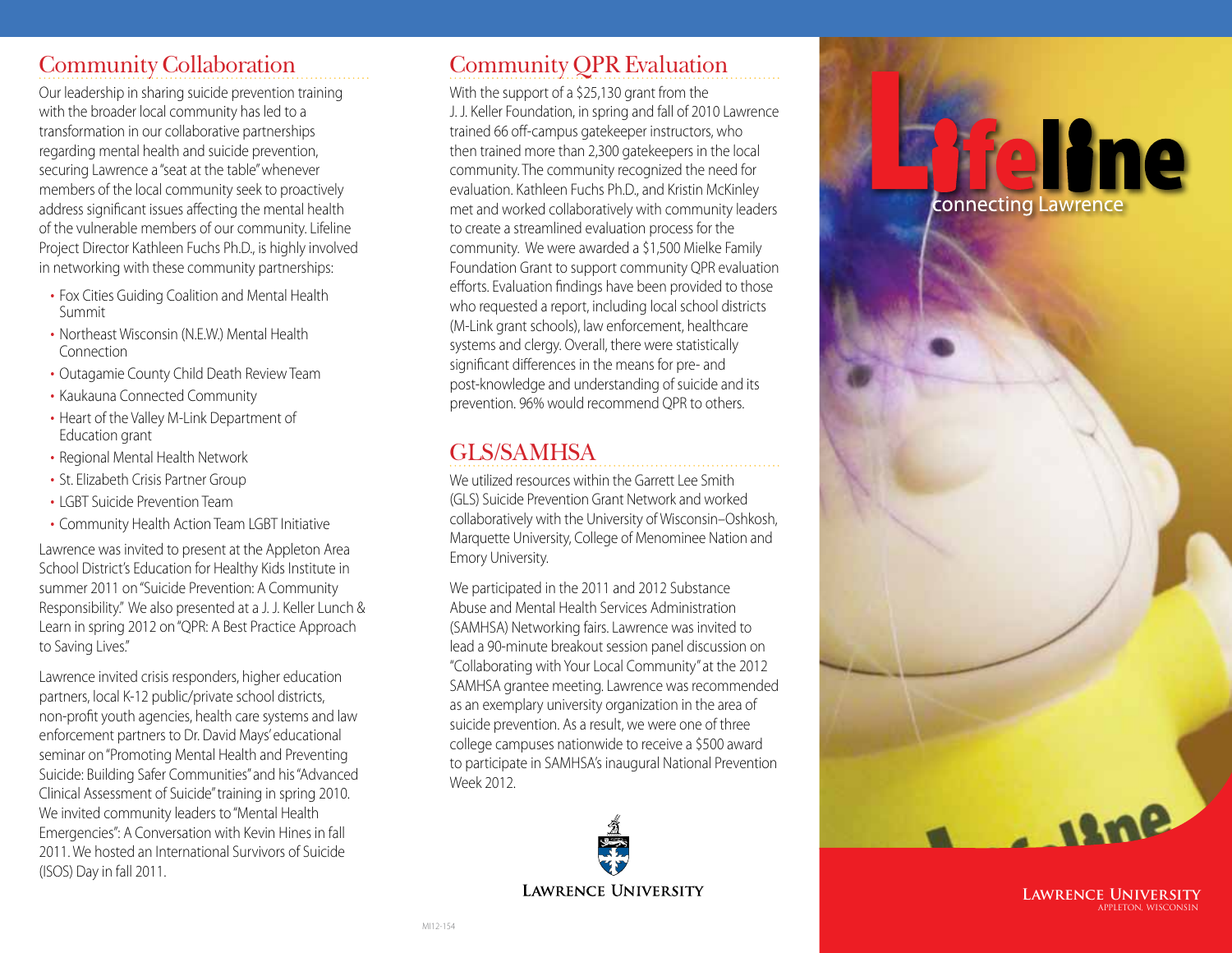### Community Collaboration

Our leadership in sharing suicide prevention training with the broader local community has led to a transformation in our collaborative partnerships regarding mental health and suicide prevention, securing Lawrence a "seat at the table" whenever members of the local community seek to proactively address significant issues affecting the mental health of the vulnerable members of our community. Lifeline Project Director Kathleen Fuchs Ph.D., is highly involved in networking with these community partnerships:

- Fox Cities Guiding Coalition and Mental Health Summit
- • Northeast Wisconsin (N.E.W.) Mental Health Connection
- Outagamie County Child Death Review Team
- Kaukauna Connected Community
- Heart of the Valley M-Link Department of Education grant
- Regional Mental Health Network
- St. Elizabeth Crisis Partner Group
- I GBT Suicide Prevention Team
- • Community Health Action Team LGBT Initiative

Lawrence was invited to present at the Appleton Area School District's Education for Healthy Kids Institute in summer 2011 on "Suicide Prevention: A Community Responsibility." We also presented at a J. J. Keller Lunch & Learn in spring 2012 on "QPR: A Best Practice Approach to Saving Lives."

Lawrence invited crisis responders, higher education partners, local K-12 public/private school districts, non-profit youth agencies, health care systems and law enforcement partners to Dr. David Mays' educational seminar on "Promoting Mental Health and Preventing Suicide: Building Safer Communities" and his "Advanced Clinical Assessment of Suicide" training in spring 2010. We invited community leaders to "Mental Health Emergencies": A Conversation with Kevin Hines in fall 2011. We hosted an International Survivors of Suicide (ISOS) Day in fall 2011.

# Community QPR Evaluation

With the support of a \$25,130 grant from the J. J. Keller Foundation, in spring and fall of 2010 Lawrence trained 66 off-campus gatekeeper instructors, who then trained more than 2,300 gatekeepers in the local community. The community recognized the need for evaluation. Kathleen Fuchs Ph.D., and Kristin McKinley met and worked collaboratively with community leaders to create a streamlined evaluation process for the community. We were awarded a \$1,500 Mielke Family Foundation Grant to support community QPR evaluation efforts. Evaluation findings have been provided to those who requested a report, including local school districts (M-Link grant schools), law enforcement, healthcare systems and clergy. Overall, there were statistically significant differences in the means for pre- and post-knowledge and understanding of suicide and its prevention. 96% would recommend QPR to others.

### GLS/SAMHSA

We utilized resources within the Garrett Lee Smith (GLS) Suicide Prevention Grant Network and worked collaboratively with the University of Wisconsin–Oshkosh, Marquette University, College of Menominee Nation and Emory University.

We participated in the 2011 and 2012 Substance Abuse and Mental Health Services Administration (SAMHSA) Networking fairs. Lawrence was invited to lead a 90-minute breakout session panel discussion on "Collaborating with Your Local Community" at the 2012 SAMHSA grantee meeting. Lawrence was recommended as an exemplary university organization in the area of suicide prevention. As a result, we were one of three college campuses nationwide to receive a \$500 award to participate in SAMHSA's inaugural National Prevention Week 2012.



isne

**ffelline** 

connecting Lawrence